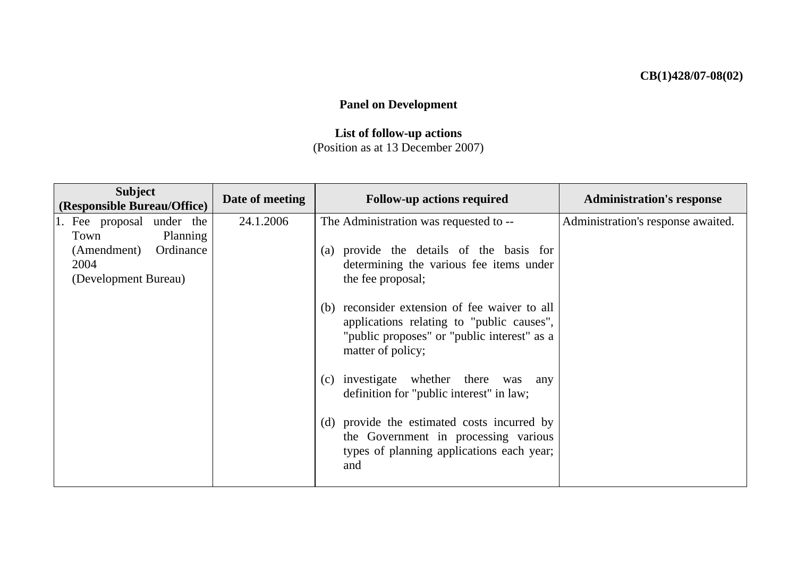## **CB(1)428/07-08(02)**

## **Panel on Development**

## **List of follow-up actions**  (Position as at 13 December 2007)

| <b>Subject</b><br>(Responsible Bureau/Office) | Date of meeting | <b>Follow-up actions required</b>                                                                                                                              | <b>Administration's response</b>   |
|-----------------------------------------------|-----------------|----------------------------------------------------------------------------------------------------------------------------------------------------------------|------------------------------------|
| 1. Fee proposal under the                     | 24.1.2006       | The Administration was requested to --                                                                                                                         | Administration's response awaited. |
| Planning<br>Town                              |                 |                                                                                                                                                                |                                    |
| Ordinance<br>(Amendment)                      |                 | (a) provide the details of the basis for                                                                                                                       |                                    |
| 2004                                          |                 | determining the various fee items under                                                                                                                        |                                    |
| (Development Bureau)                          |                 | the fee proposal;                                                                                                                                              |                                    |
|                                               |                 | (b) reconsider extension of fee waiver to all<br>applications relating to "public causes",<br>"public proposes" or "public interest" as a<br>matter of policy; |                                    |
|                                               |                 | (c) investigate whether there<br>was<br>any<br>definition for "public interest" in law;                                                                        |                                    |
|                                               |                 | (d) provide the estimated costs incurred by<br>the Government in processing various<br>types of planning applications each year;<br>and                        |                                    |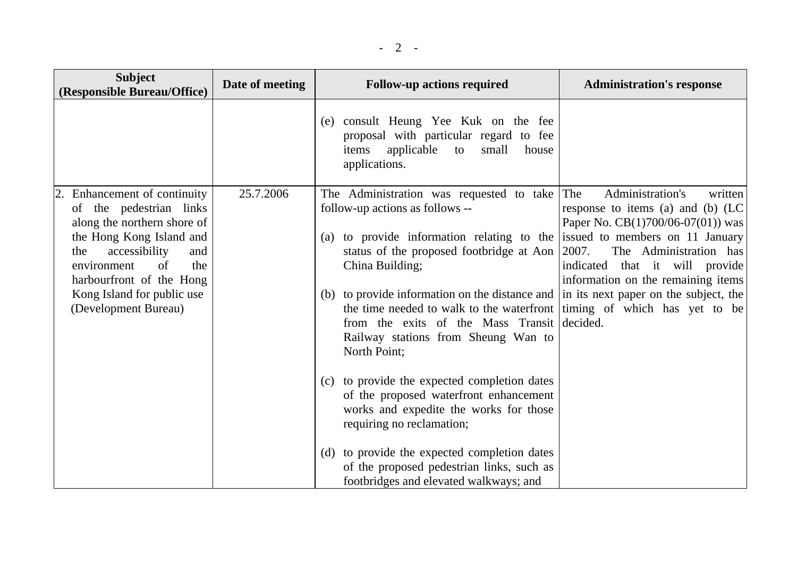| <b>Subject</b><br>(Responsible Bureau/Office)                                                                                                                                                                                                                   | Date of meeting | <b>Follow-up actions required</b>                                                                                                                                                                                                                                                                                                                                                                                                                                                                                                                                                                                                                                                                                                                                         | <b>Administration's response</b>                                                                                                                                                                                                                            |
|-----------------------------------------------------------------------------------------------------------------------------------------------------------------------------------------------------------------------------------------------------------------|-----------------|---------------------------------------------------------------------------------------------------------------------------------------------------------------------------------------------------------------------------------------------------------------------------------------------------------------------------------------------------------------------------------------------------------------------------------------------------------------------------------------------------------------------------------------------------------------------------------------------------------------------------------------------------------------------------------------------------------------------------------------------------------------------------|-------------------------------------------------------------------------------------------------------------------------------------------------------------------------------------------------------------------------------------------------------------|
|                                                                                                                                                                                                                                                                 |                 | (e) consult Heung Yee Kuk on the fee<br>proposal with particular regard to fee<br>applicable<br>small<br>items<br>house<br>to<br>applications.                                                                                                                                                                                                                                                                                                                                                                                                                                                                                                                                                                                                                            |                                                                                                                                                                                                                                                             |
| 2. Enhancement of continuity<br>of the pedestrian links<br>along the northern shore of<br>the Hong Kong Island and<br>accessibility<br>the<br>and<br>the<br>of<br>environment<br>harbourfront of the Hong<br>Kong Island for public use<br>(Development Bureau) | 25.7.2006       | The Administration was requested to take<br>follow-up actions as follows --<br>(a) to provide information relating to the<br>status of the proposed footbridge at Aon<br>China Building;<br>(b) to provide information on the distance and in its next paper on the subject, the<br>the time needed to walk to the waterfront timing of which has yet to be<br>from the exits of the Mass Transit decided.<br>Railway stations from Sheung Wan to<br>North Point;<br>(c) to provide the expected completion dates<br>of the proposed waterfront enhancement<br>works and expedite the works for those<br>requiring no reclamation;<br>(d) to provide the expected completion dates<br>of the proposed pedestrian links, such as<br>footbridges and elevated walkways; and | Administration's<br>The<br>written<br>response to items (a) and (b) (LC<br>Paper No. $CB(1)700/06-07(01)$ was<br>issued to members on 11 January<br>2007.<br>The Administration has<br>indicated that it will provide<br>information on the remaining items |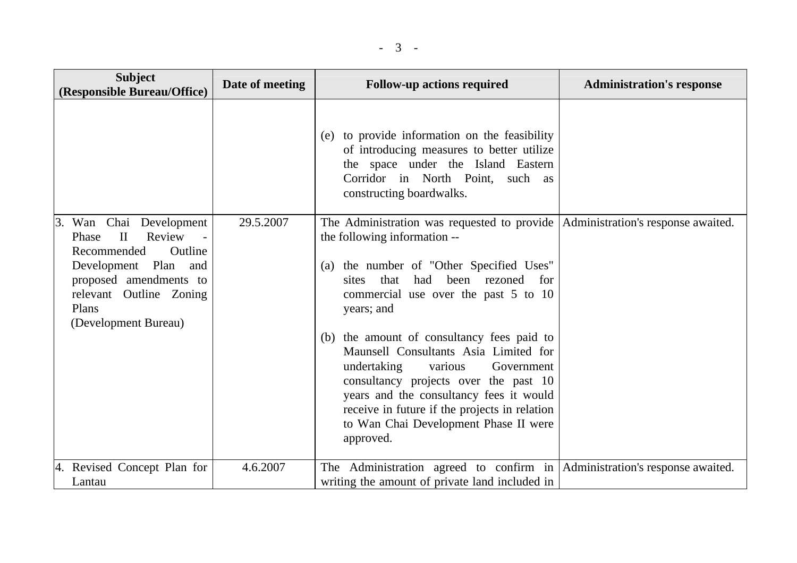| <b>Subject</b><br>(Responsible Bureau/Office)                                                                                                                                                         | Date of meeting | <b>Follow-up actions required</b>                                                                                                                                                                                                                                                                                                                                                                                                                                                                                                                                                     | <b>Administration's response</b> |
|-------------------------------------------------------------------------------------------------------------------------------------------------------------------------------------------------------|-----------------|---------------------------------------------------------------------------------------------------------------------------------------------------------------------------------------------------------------------------------------------------------------------------------------------------------------------------------------------------------------------------------------------------------------------------------------------------------------------------------------------------------------------------------------------------------------------------------------|----------------------------------|
|                                                                                                                                                                                                       |                 | (e) to provide information on the feasibility<br>of introducing measures to better utilize<br>the space under the Island Eastern<br>Corridor in North Point, such as<br>constructing boardwalks.                                                                                                                                                                                                                                                                                                                                                                                      |                                  |
| 3. Wan Chai Development<br>$\mathbf{I}$<br>Review<br>Phase<br>Recommended<br>Outline<br>Development Plan<br>and<br>proposed amendments to<br>relevant Outline Zoning<br>Plans<br>(Development Bureau) | 29.5.2007       | The Administration was requested to provide   Administration's response awaited.<br>the following information --<br>(a) the number of "Other Specified Uses"<br>been rezoned for<br>that<br>had<br>sites<br>commercial use over the past 5 to 10<br>years; and<br>(b) the amount of consultancy fees paid to<br>Maunsell Consultants Asia Limited for<br>undertaking various<br>Government<br>consultancy projects over the past 10<br>years and the consultancy fees it would<br>receive in future if the projects in relation<br>to Wan Chai Development Phase II were<br>approved. |                                  |
| 4. Revised Concept Plan for<br>Lantau                                                                                                                                                                 | 4.6.2007        | The Administration agreed to confirm in   Administration's response awaited.<br>writing the amount of private land included in                                                                                                                                                                                                                                                                                                                                                                                                                                                        |                                  |